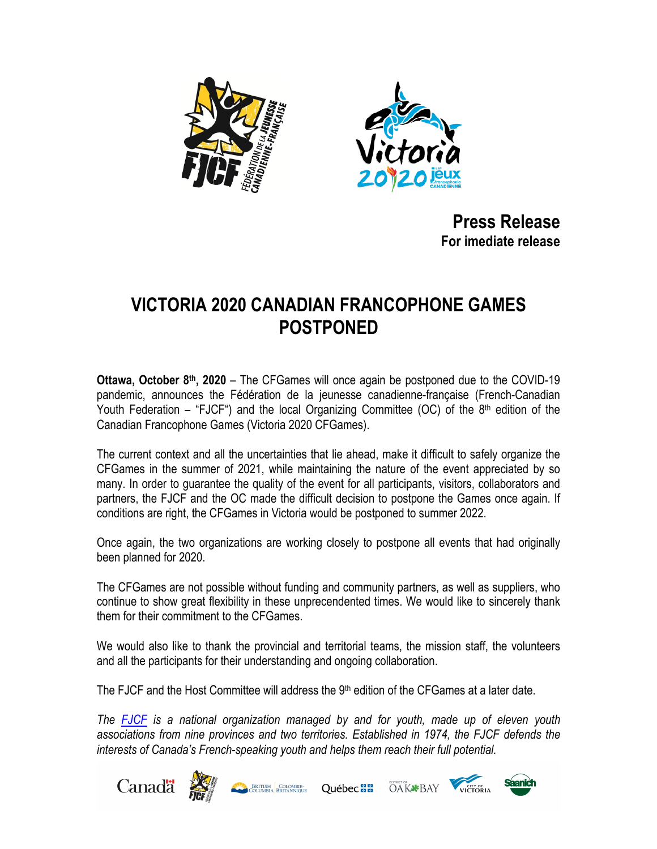



**Press Release For imediate release**

## **VICTORIA 2020 CANADIAN FRANCOPHONE GAMES POSTPONED**

**Ottawa, October 8th, 2020** – The CFGames will once again be postponed due to the COVID-19 pandemic, announces the Fédération de la jeunesse canadienne-française (French-Canadian Youth Federation – "FJCF") and the local Organizing Committee (OC) of the  $8<sup>th</sup>$  edition of the Canadian Francophone Games (Victoria 2020 CFGames).

The current context and all the uncertainties that lie ahead, make it difficult to safely organize the CFGames in the summer of 2021, while maintaining the nature of the event appreciated by so many. In order to guarantee the quality of the event for all participants, visitors, collaborators and partners, the FJCF and the OC made the difficult decision to postpone the Games once again. If conditions are right, the CFGames in Victoria would be postponed to summer 2022.

Once again, the two organizations are working closely to postpone all events that had originally been planned for 2020.

The CFGames are not possible without funding and community partners, as well as suppliers, who continue to show great flexibility in these unprecendented times. We would like to sincerely thank them for their commitment to the CFGames.

We would also like to thank the provincial and territorial teams, the mission staff, the volunteers and all the participants for their understanding and ongoing collaboration.

The FJCF and the Host Committee will address the  $9<sup>th</sup>$  edition of the CFGames at a later date.

*The FJCF is a national organization managed by and for youth, made up of eleven youth associations from nine provinces and two territories. Established in 1974, the FJCF defends the interests of Canada's French-speaking youth and helps them reach their full potential.*